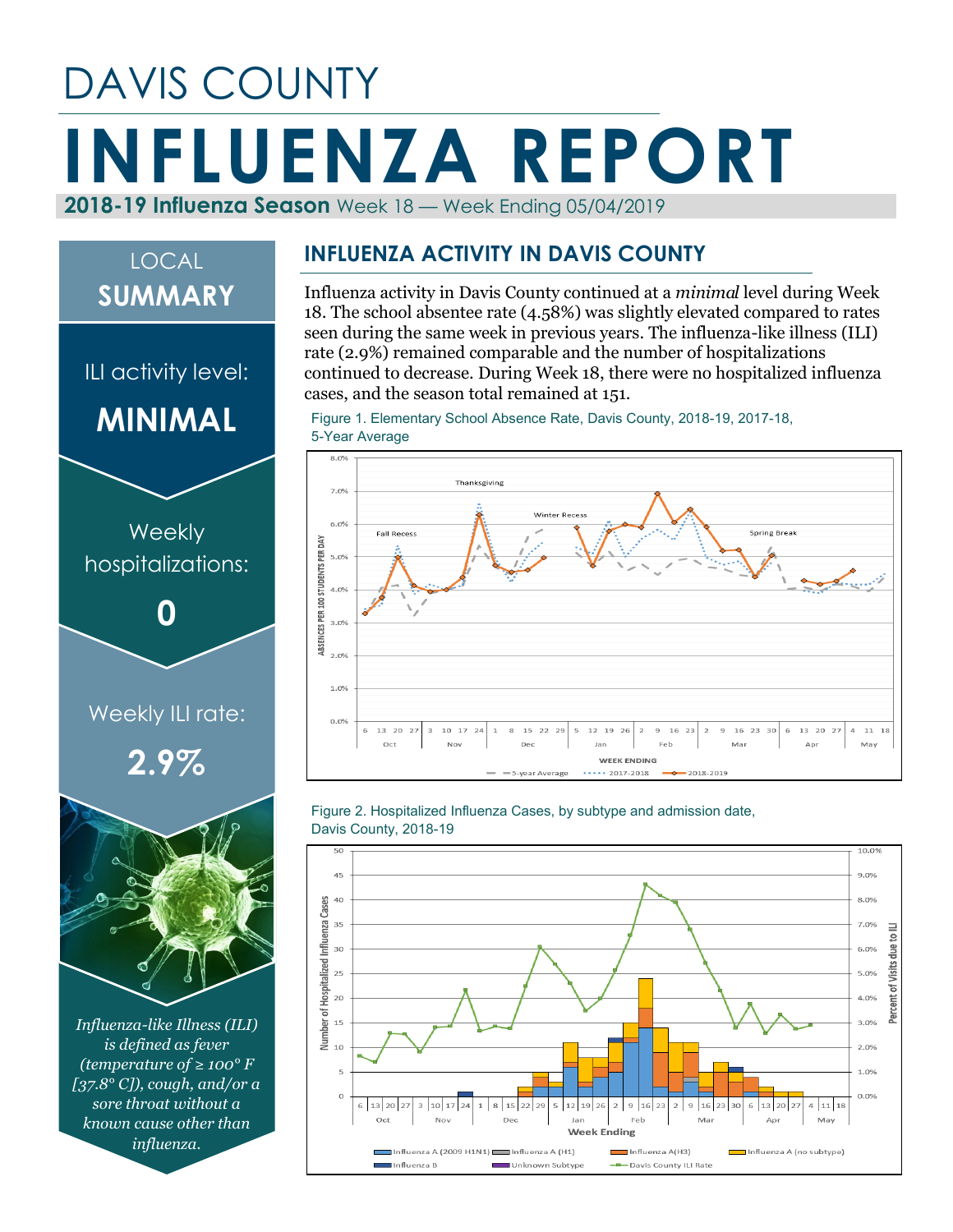## DAVIS COUNTY **INFLUENZA REPORT 2018-19 Influenza Season** Week 18 — Week Ending 05/04/2019

# *Influenza-like Illness (ILI) is defined as fever*  Weekly ILI rate: **2.9% Weekly** hospitalizations: **0** ILI activity level: **MINIMAL** LOCAL **SUMMARY**

*(temperature of ≥ 100° F [37.8° C]), cough, and/or a sore throat without a known cause other than influenza.*

#### **INFLUENZA ACTIVITY IN DAVIS COUNTY**

Influenza activity in Davis County continued at a *minimal* level during Week 18. The school absentee rate (4.58%) was slightly elevated compared to rates seen during the same week in previous years. The influenza-like illness (ILI) rate (2.9%) remained comparable and the number of hospitalizations continued to decrease. During Week 18, there were no hospitalized influenza cases, and the season total remained at 151.